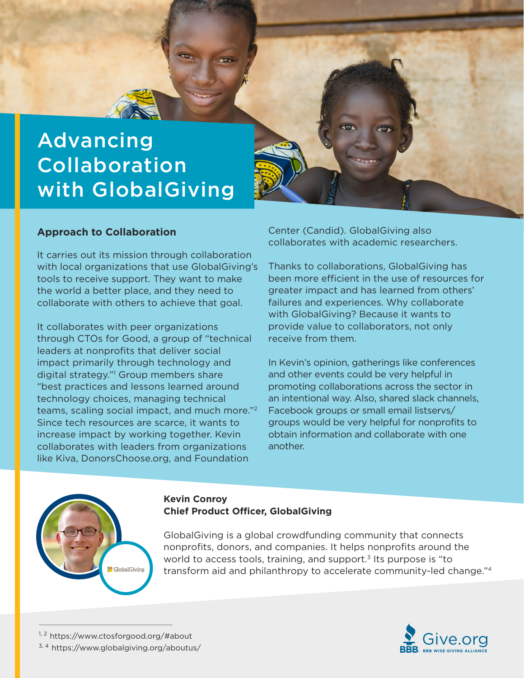

# Collaboration with GlobalGiving

# **Approach to Collaboration**

It carries out its mission through collaboration with local organizations that use GlobalGiving's tools to receive support. They want to make the world a better place, and they need to collaborate with others to achieve that goal.

It collaborates with peer organizations through CTOs for Good, a group of "technical leaders at nonprofits that deliver social impact primarily through technology and digital strategy."1 Group members share "best practices and lessons learned around technology choices, managing technical teams, scaling social impact, and much more."2 Since tech resources are scarce, it wants to increase impact by working together. Kevin collaborates with leaders from organizations like Kiva, DonorsChoose.org, and Foundation

Center (Candid). GlobalGiving also collaborates with academic researchers.

Thanks to collaborations, GlobalGiving has been more efficient in the use of resources for greater impact and has learned from others' failures and experiences. Why collaborate with GlobalGiving? Because it wants to provide value to collaborators, not only receive from them.

In Kevin's opinion, gatherings like conferences and other events could be very helpful in promoting collaborations across the sector in an intentional way. Also, shared slack channels, Facebook groups or small email listservs/ groups would be very helpful for nonprofits to obtain information and collaborate with one another.



#### **Kevin Conroy Chief Product Officer, GlobalGiving**

GlobalGiving is a global crowdfunding community that connects nonprofits, donors, and companies. It helps nonprofits around the world to access tools, training, and support.<sup>3</sup> Its purpose is "to transform aid and philanthropy to accelerate community-led change."4

<sup>3, 4</sup> https://www.globalgiving.org/aboutus/

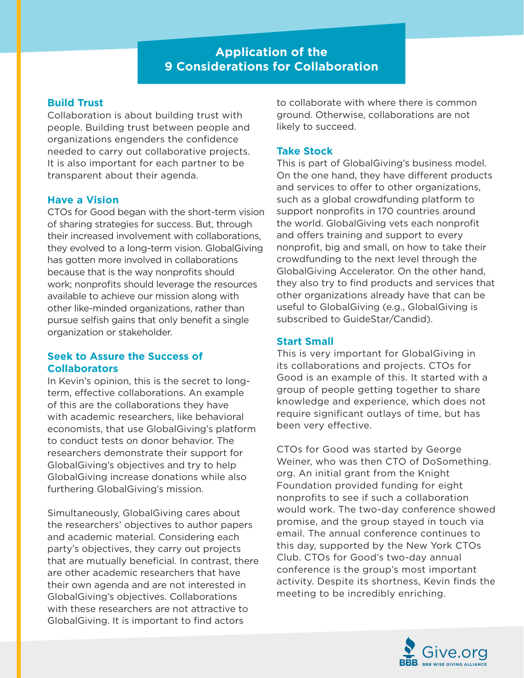# **Application of the 9 Considerations for Collaboration**

# **Build Trust**

Collaboration is about building trust with people. Building trust between people and organizations engenders the confidence needed to carry out collaborative projects. It is also important for each partner to be transparent about their agenda.

#### **Have a Vision**

CTOs for Good began with the short-term vision of sharing strategies for success. But, through their increased involvement with collaborations, they evolved to a long-term vision. GlobalGiving has gotten more involved in collaborations because that is the way nonprofits should work; nonprofits should leverage the resources available to achieve our mission along with other like-minded organizations, rather than pursue selfish gains that only benefit a single organization or stakeholder.

#### **Seek to Assure the Success of Collaborators**

In Kevin's opinion, this is the secret to longterm, effective collaborations. An example of this are the collaborations they have with academic researchers, like behavioral economists, that use GlobalGiving's platform to conduct tests on donor behavior. The researchers demonstrate their support for GlobalGiving's objectives and try to help GlobalGiving increase donations while also furthering GlobalGiving's mission.

Simultaneously, GlobalGiving cares about the researchers' objectives to author papers and academic material. Considering each party's objectives, they carry out projects that are mutually beneficial. In contrast, there are other academic researchers that have their own agenda and are not interested in GlobalGiving's objectives. Collaborations with these researchers are not attractive to GlobalGiving. It is important to find actors

to collaborate with where there is common ground. Otherwise, collaborations are not likely to succeed.

### **Take Stock**

This is part of GlobalGiving's business model. On the one hand, they have different products and services to offer to other organizations, such as a global crowdfunding platform to support nonprofits in 170 countries around the world. GlobalGiving vets each nonprofit and offers training and support to every nonprofit, big and small, on how to take their crowdfunding to the next level through the GlobalGiving Accelerator. On the other hand, they also try to find products and services that other organizations already have that can be useful to GlobalGiving (e.g., GlobalGiving is subscribed to GuideStar/Candid).

#### **Start Small**

This is very important for GlobalGiving in its collaborations and projects. CTOs for Good is an example of this. It started with a group of people getting together to share knowledge and experience, which does not require significant outlays of time, but has been very effective.

CTOs for Good was started by George Weiner, who was then CTO of DoSomething. org. An initial grant from the Knight Foundation provided funding for eight nonprofits to see if such a collaboration would work. The two-day conference showed promise, and the group stayed in touch via email. The annual conference continues to this day, supported by the New York CTOs Club. CTOs for Good's two-day annual conference is the group's most important activity. Despite its shortness, Kevin finds the meeting to be incredibly enriching.